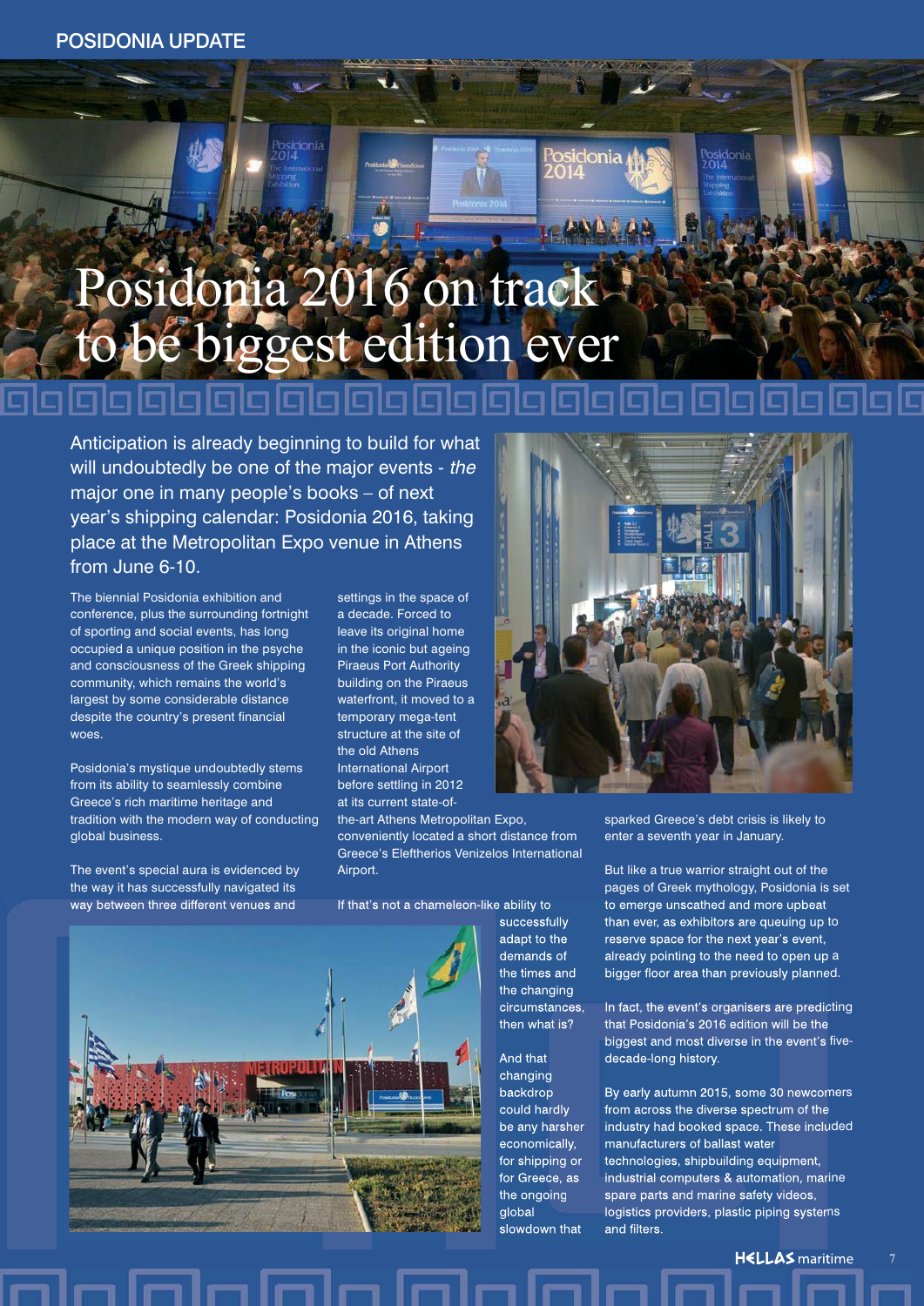# Posidonia 2016 on track to be biggest edition ever

Anticipation is already beginning to build for what will undoubtedly be one of the major events - the major one in many people's books – of next year's shipping calendar: Posidonia 2016, taking place at the Metropolitan Expo venue in Athens from June 6-10.

The biennial Posidonia exhibition and conference, plus the surrounding fortnight of sporting and social events, has long occupied a unique position in the psyche and consciousness of the Greek shipping community, which remains the world's largest by some considerable distance despite the country's present financial woes.

Posidonia's mystique undoubtedly stems from its ability to seamlessly combine Greece's rich maritime heritage and tradition with the modern way of conducting global business.

The event's special aura is evidenced by the way it has successfully navigated its way between three different venues and

settings in the space of a decade. Forced to leave its original home in the iconic but ageing Piraeus Port Authority building on the Piraeus waterfront, it moved to a temporary mega-tent structure at the site of the old Athens International Airport before settling in 2012 at its current state-of-

the-art Athens Metropolitan Expo, conveniently located a short distance from Greece's Eleftherios Venizelos International Airport.

If that's not a chameleon-like ability to



successfully adapt to the demands of the times and the changing circumstances, then what is?

And that changing backdrop could hardly be any harsher economically, for shipping or for Greece, as the ongoing lalobal slowdown that



onia

sparked Greece's debt crisis is likely to enter a seventh year in January.

But like a true warrior straight out of the pages of Greek mythology, Posidonia is set to emerge unscathed and more upbeat than ever, as exhibitors are queuing up to reserve space for the next year's event, already pointing to the need to open up a bigger floor area than previously planned.

In fact, the event's organisers are predicting that Posidonia's 2016 edition will be the biggest and most diverse in the event's fivedecade-long history.

By early autumn 2015, some 30 newcomers from across the diverse spectrum of the industry had booked space. These included manufacturers of ballast water technologies, shipbuilding equipment, industrial computers & automation, marine spare parts and marine safety videos, logistics providers, plastic piping systems and filters.

**HELLAS** maritime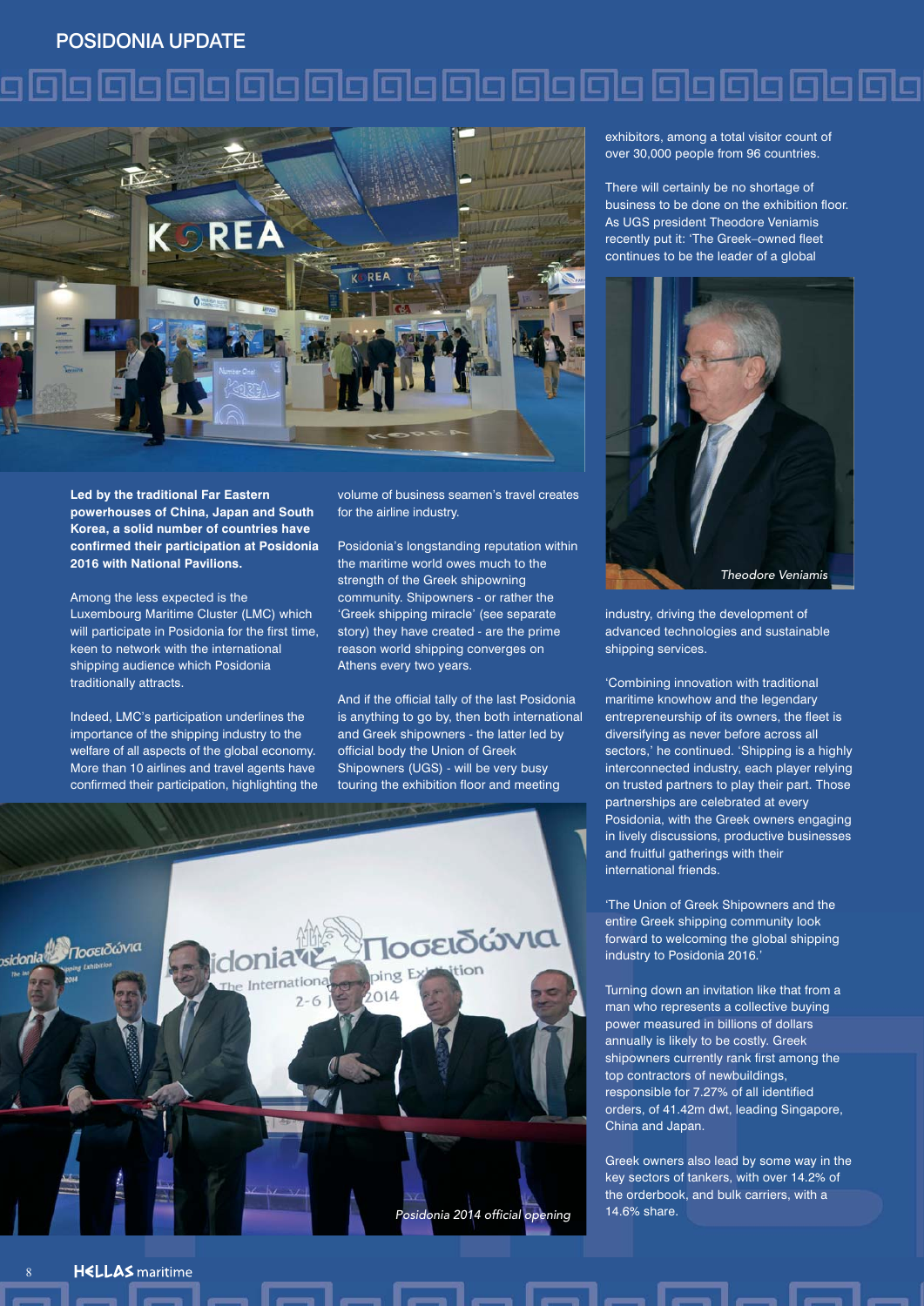#### POSIDONIA UPDATE

### e **alge de la constructo de la constructo de la constructo de la constructo de la constructo de la constructo d**



**Led by the traditional Far Eastern powerhouses of China, Japan and South Korea, a solid number of countries have confirmed their participation at Posidonia 2016 with National Pavilions.**

Among the less expected is the Luxembourg Maritime Cluster (LMC) which will participate in Posidonia for the first time, keen to network with the international shipping audience which Posidonia traditionally attracts.

Indeed, LMC's participation underlines the importance of the shipping industry to the welfare of all aspects of the global economy. More than 10 airlines and travel agents have confirmed their participation, highlighting the volume of business seamen's travel creates for the airline industry.

Posidonia's longstanding reputation within the maritime world owes much to the strength of the Greek shipowning community. Shipowners - or rather the 'Greek shipping miracle' (see separate story) they have created - are the prime reason world shipping converges on Athens every two years.

And if the official tally of the last Posidonia is anything to go by, then both international and Greek shipowners - the latter led by official body the Union of Greek Shipowners (UGS) - will be very busy touring the exhibition floor and meeting



exhibitors, among a total visitor count of over 30,000 people from 96 countries.

There will certainly be no shortage of business to be done on the exhibition floor. As UGS president Theodore Veniamis recently put it: 'The Greek–owned fleet continues to be the leader of a global



industry, driving the development of advanced technologies and sustainable shipping services.

'Combining innovation with traditional maritime knowhow and the legendary entrepreneurship of its owners, the fleet is diversifying as never before across all sectors,' he continued. 'Shipping is a highly interconnected industry, each player relying on trusted partners to play their part. Those partnerships are celebrated at every Posidonia, with the Greek owners engaging in lively discussions, productive businesses and fruitful gatherings with their international friends.

'The Union of Greek Shipowners and the entire Greek shipping community look forward to welcoming the global shipping industry to Posidonia 2016.'

Turning down an invitation like that from a man who represents a collective buying power measured in billions of dollars annually is likely to be costly. Greek shipowners currently rank first among the top contractors of newbuildings, responsible for 7.27% of all identified orders, of 41.42m dwt, leading Singapore, China and Japan.

Greek owners also lead by some way in the key sectors of tankers, with over 14.2% of the orderbook, and bulk carriers, with a 14.6% share.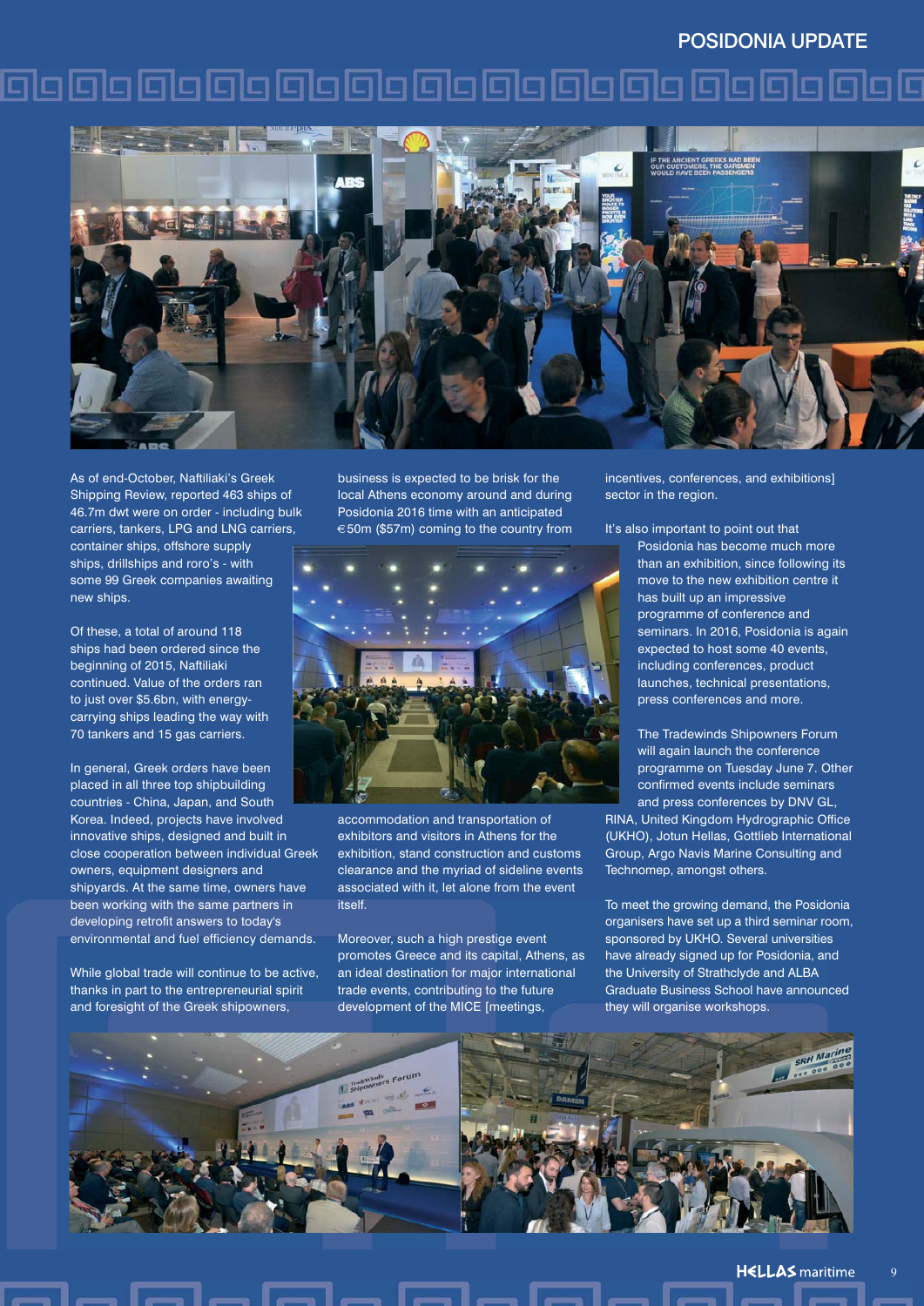#### POSIDONIA UPDATE

### 00000000000000000000000000000



As of end-October, Naftiliaki's Greek Shipping Review, reported 463 ships of 46.7m dwt were on order - including bulk carriers, tankers, LPG and LNG carriers, container ships, offshore supply ships, drillships and roro's - with some 99 Greek companies awaiting new ships.

Of these, a total of around 118 ships had been ordered since the beginning of 2015, Naftiliaki continued. Value of the orders ran to just over \$5.6bn, with energycarrying ships leading the way with 70 tankers and 15 gas carriers.

In general, Greek orders have been placed in all three top shipbuilding countries - China, Japan, and South Korea. Indeed, projects have involved innovative ships, designed and built in close cooperation between individual Greek owners, equipment designers and shipyards. At the same time, owners have been working with the same partners in developing retrofit answers to today's environmental and fuel efficiency demands.

While global trade will continue to be active, thanks in part to the entrepreneurial spirit and foresight of the Greek shipowners,

business is expected to be brisk for the local Athens economy around and during Posidonia 2016 time with an anticipated €50m (\$57m) coming to the country from



accommodation and transportation of exhibitors and visitors in Athens for the exhibition, stand construction and customs clearance and the myriad of sideline events associated with it, let alone from the event itself.

Moreover, such a high prestige event promotes Greece and its capital, Athens, as an ideal destination for major international trade events, contributing to the future development of the MICE [meetings,

incentives, conferences, and exhibitions] sector in the region.

It's also important to point out that Posidonia has become much more than an exhibition, since following its move to the new exhibition centre it has built up an impressive programme of conference and seminars. In 2016, Posidonia is again expected to host some 40 events, including conferences, product launches, technical presentations, press conferences and more.

> The Tradewinds Shipowners Forum will again launch the conference programme on Tuesday June 7. Other confirmed events include seminars and press conferences by DNV GL,

RINA, United Kingdom Hydrographic Office (UKHO), Jotun Hellas, Gottlieb International Group, Argo Navis Marine Consulting and Technomep, amongst others.

To meet the growing demand, the Posidonia organisers have set up a third seminar room, sponsored by UKHO. Several universities have already signed up for Posidonia, and the University of Strathclyde and ALBA Graduate Business School have announced they will organise workshops.